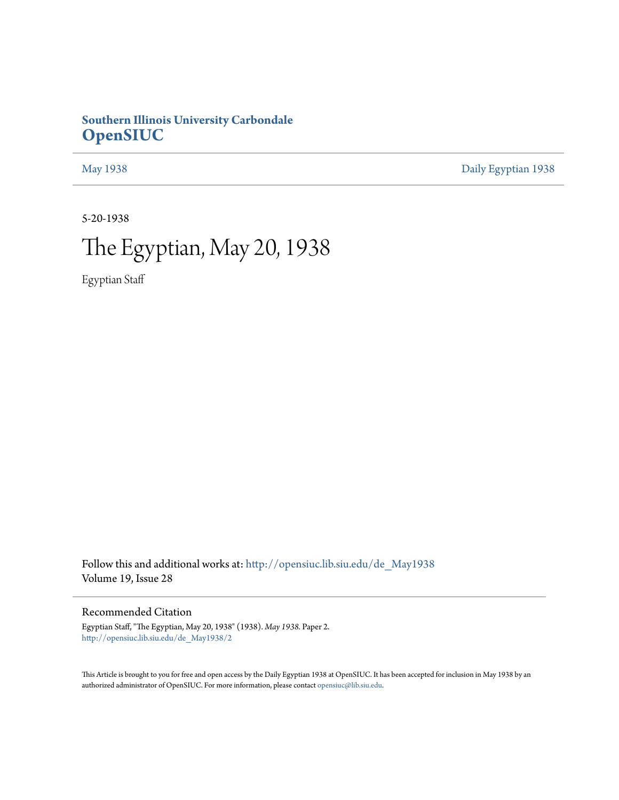### **Southern Illinois University Carbondale [OpenSIUC](http://opensiuc.lib.siu.edu?utm_source=opensiuc.lib.siu.edu%2Fde_May1938%2F2&utm_medium=PDF&utm_campaign=PDFCoverPages)**

[May 1938](http://opensiuc.lib.siu.edu/de_May1938?utm_source=opensiuc.lib.siu.edu%2Fde_May1938%2F2&utm_medium=PDF&utm_campaign=PDFCoverPages) [Daily Egyptian 1938](http://opensiuc.lib.siu.edu/de_1938?utm_source=opensiuc.lib.siu.edu%2Fde_May1938%2F2&utm_medium=PDF&utm_campaign=PDFCoverPages)

5-20-1938

# The Egyptian, May 20, 1938

Egyptian Staff

Follow this and additional works at: [http://opensiuc.lib.siu.edu/de\\_May1938](http://opensiuc.lib.siu.edu/de_May1938?utm_source=opensiuc.lib.siu.edu%2Fde_May1938%2F2&utm_medium=PDF&utm_campaign=PDFCoverPages) Volume 19, Issue 28

### Recommended Citation

Egyptian Staff, "The Egyptian, May 20, 1938" (1938). *May 1938.* Paper 2. [http://opensiuc.lib.siu.edu/de\\_May1938/2](http://opensiuc.lib.siu.edu/de_May1938/2?utm_source=opensiuc.lib.siu.edu%2Fde_May1938%2F2&utm_medium=PDF&utm_campaign=PDFCoverPages)

This Article is brought to you for free and open access by the Daily Egyptian 1938 at OpenSIUC. It has been accepted for inclusion in May 1938 by an authorized administrator of OpenSIUC. For more information, please contact [opensiuc@lib.siu.edu](mailto:opensiuc@lib.siu.edu).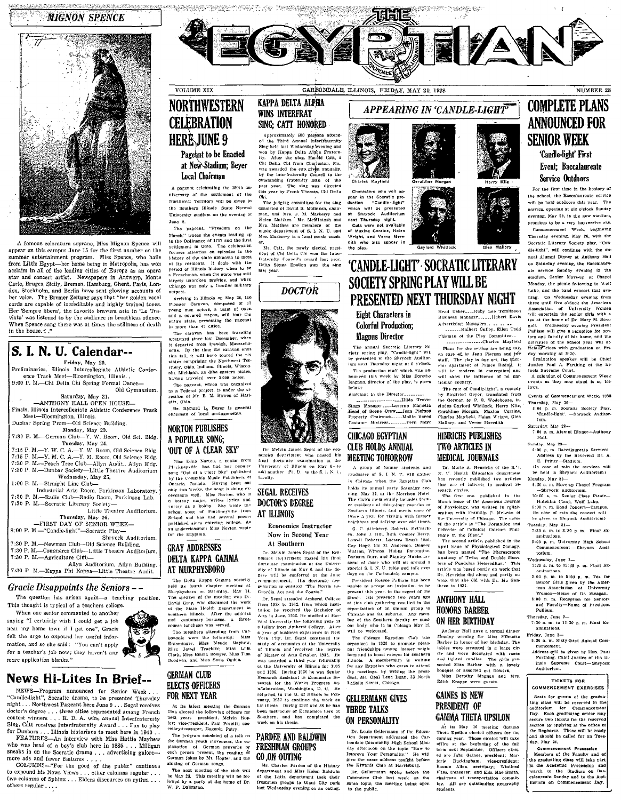

A famous coloratura soprano, Miss Mignon Spence will appear on this campus June 15 for the first number on the summer entertainment program. Miss Spence, who hails from Little Egypt-her home being in Metropolis, has won acclaim in all of the leading cities of Europe as an opera star and concert artist. Newspapers in Antwerp. Monte Carlo, Bruges, Sicily, Bremen, Hamburg, Ghent, Paris, Lon~ don, Stockholm. and Be-rlin have sent glowing accounts of her voice, The Bremer Zeitung say5 that "her golden vocal cords are capable of increditable and highly trained tones. Her 'Sempre Iibera'. the favorite bravura aria in 'La Traviata' was listened to by the audience in breathless silence. When Spence sang there was at times the stillness of death in the house. $<$  ."





WINS INTERFRAT<br>SING: CATT HONORED

G

SING, CATT HONORED<br>
Approximately 600 persons attended the Third Annual Interferientity<br>
of the Third Annual Interferientity<br>
Sing held last Wednesday Sevening paid<br>
You by Keppe Delta Alpha Fraterne.<br>
11y. Atter the sing,

er.<br>| Mr. Cait, tho newly elected presi-<br>| dent of Chi Delta Chi won the Inter-<br>| fraternity Council's award last year.<br>| Delta Siguna Epsilon won the sing

last year

Dr. Melvin James Segal of the econ department who passed his doctorate examination at the final doctorate examination at the<br>University of Illinois on May 6--tu<br>add nuother Ph D, to the S, I, N, U,<br>faculty,

### DOCTOR'S DEGREE AT lLUNOIS

### Now in Second Year At Southern

Dr. Melvin James Segal of the Ect

Dr. Segal attended Amherst College<br>from 1928 to 1932, from which institution<br>tution be reccived the Bachelor of<br>Arts in Jane, 1932. He studied at Har-<br>vard University the following year as a fellow from Amherst College. After *a* year of husiness experience in New York City, Dr. Segal continued the<br>stigy of economics at the University<br>of Himois and "received the degree<br>of Master of Arts October, 1935, He<br>was awarded a third year fellowship<br>at the University of Himois for 1935 and 1936. During 1936 he was Senior<br>Research Assistant in Economics Research for the Works Progress Ac-<br>natistration, Washintston, D. C. He<br>returned to the U. of Illinois in Fob-<br>ruary, 1937 to continue the work on<br>this thesis. During 1937 and 38 he has<br>been instructor of Economics liere at<br>

### PARDEE AND BALDWIN FRESHMAN GROUPS

GO ,ON OUTING<br>Mr. Charles Pardee of the History<br>department and Miss Helen Baldwin<br>of the Latin department took Utelr<br>fresbmen groups to Giant City park<br>last Wednesday evening on an outlng.



TAHLE .

VOLUME XIX CARBONDALE, ILLINOIS, FRIDAY, MAY 20, 1938 'NUMBER 28

l ap-

at Shryock Auditorium<br>
next Thursday night.<br>
Cuts were not available<br>
of Maxine Corzine, Helen<br>
Wright, and Verne Mere. dith who alsc appear In the play.

pear in the Socratic pro-<br>duction - "Candle-light" duction

The production staff which was an-<br>nounced this week by Miss Dorothy<br>Magnus, director of the piay, is given

Assistant to the Director... \_\_\_\_\_\_\_\_\_\_\_\_\_\_\_\_\_\_\_\_ Hlldn Trovl't Sta~o lHannger \_\_\_\_ Lnverne Marietta .Hend or \$eena ·Crew \_\_\_ Jea.n Pleh!oil p)'oPf'rty Chairmun \_\_\_\_ Moille SUl'ed CostUIDP Mistl·(>s~ \_\_\_\_\_\_\_ Fl'rn Mo}'C'

CHICAGO EGYPTIAN CLUB HOLDS ANNUAL

Delo\\,:



IT YAV

ANNOUNCED FOR SENIOR WEEK 'Candle-light' First Event; Baccalaureate

### Service Outdoors<br>For the first time in the hoatory or the school, the Baccalaureate service will be held outdoors this year. The service, opening at six o'clock Sunday evening, May 29, in the new stadium, promises to be a very impressive one.<br>Commencement Week, heginature Commencement Week, beginning<br>Thursday evening, May 26, with the Socratic Literary Society play, "Candle-light", will continue with the annunl Alnmni Dinner at Anthony Hsll on Saturday evening, the Baccalaureate service Sunday evening in the

stadium. Senior Move-up at Chapel Monday, the picnic following to Wolf<br>Lake and the band concert that eve-Lake, and the band concert that eve-<br>
uing, On Wednesday evening from<br>
three until five o'clock the American<br>
Association of University Women will entertain the senior girls with a tea at the home of Dr. Mary M. Stea tea at the home of Dr. Mary M. Sten-<br>gall. Wednesday evening President<br>Pulliam will give a reception for sen-<br>iors and faculty at his home, and the<br>activities of the scheol year will of-<br>Ficially-close with graduation on F

day morning at 9:30.<br>
Graduation speaker will be Chief<br>
Justice Paul A. Farthing of the Hi-<br>
inois Supreme Court.

A calendar.of Commencement Weekerents as they now stand is as follows. Events of Commencement Week, 1938

Thursday, May 26-<br>8:00 p. m. Socratic Society Play.<br>Candle-light'. --Shryock Auditor-

Saturday. May 2S~ 7:00 p. m. Alumu! Dlnner-Authony

Sunday, May 29-

6:00 p. m. Baccalaurente Services<br>Address by the Rowerend Ur. A.<br>E. Prince—Stadium.<br>T. Ch. case of rain the services will<br>be held in Shryock Auditorium) Monday. May 30-

9:30 n. m. Move-up Chapel Program<br>--Shryock Auditorium.<br>10:00 a. m. Senior Class Plenic-<br>Hutchins Camp. Wolf Lake.<br>8:00 p. m. Band Concert-Campus.

(In case of rain the concert will<br>be given in Shryock Auditorium) Tuesday, May  $31-$ <br>7:30 a.m. to 3:30 p.m. Final Ex-

amlnatlon~ 8:00 p. m. University High School Commencement - Shryock Audi-

torlum. Wednesday. June  $1-$ <br>7:30 a. m. to  $12:30$  p. m. Final Ex-

- 
- amtnations.<br>
3.00 p. m. to 5:00 p. m. Tea tor<br>
Senior Girls given by the Amer-<br>
ican Association or University<br>
Vomen-Home of Dr. Steagall.<br>
S:00 p. m. Reception for Senjors<br>
and Faculty-Home of President<br>
Pulliam.

Thursday, June 2- $7:30$  a. m. to 12:30 p. m. Final Ex-<br>aminations.

Friday. June 3-

9.30 n. m. Sixty·third Annual Com-Address will be given by Hon. Paul Farthing. Chief Justice of the Ill-<br>inois Supreme Court-Shryock<br>Auditorium.

### TICKETS FOR

c.oMMENCEMENT EXERCiSES Sents for guests of the gradua ting class will be reserved in the<br>auditorium for Commencement<br>Day. Each graduating senior may secure two tickets for tbe reserved section by applying at the office of<br>the Registrar. These will be ready<br>and should be called for on Tuesday. May 24.

Commencement Procession Members of the Faculty and o the graduating class will take part In the Academic Procession and march to the Stadium on Bas-<br>calcureate Sunday and to the Aud-<br>itorium on Commencement Day.

### s. I. N. U. Calendar--

Friday. May 20. Preliminaries, Illinois Intercollegiate Athletic Conference Track Meet-Bloomington, Illinois. 9:00 P. M.-Chi Delta Chi Spring Formal Dance-

Old Gymnasium. Saturday, May 21.

-ANTHONY HALL OPEN HOUSE-Finals, Illinois Intercollegiate Athletic Conference Track Meet-Bloomington, Illinois.

Dunbar Spring Prom-Old Science Building. Monday, May 23.

7:30 P. M.-German Club-Y. W. Room, Old Sci. Bldg. Tuesday, May 24.

7:15 P. M.-Y. W. C. A.-Y. W. Room, Old Science Bldg. 7:15 P. M.-Y. M. C. A.-Y. M. Room, Old Science Bldg.

7 :30 P. M.-Peach Tree Club-Allrn Audit.. Allyn Bldg. 7:20 P. M.-Dunbar Society-Little Theatre Auditorium

\Vednesday, Mav 25,  $1:00$  P. M.-Straight Line Club-

Industriial Arts Room, Parkinson Laboratory. 7:30 P. M.—Radio Club—Radio Room, Parkinson Lab.<br>7:30 P. M.—Socratic Literary Society—

Little Theatre Auditorium.<br>Thursday, May 26.

—FIRST DAY OF SENIOR WEEK—<br>8:00 P. M.—"Candle-light"—Socratic Play— Shryock Auditorium.

7:30 P. M.-Newman Club-Old Science Building. 7:30 P. M.—Commerce Club—Little Theatre Auditorium.<br>7:30 P. M.—Agriculture Clüb—

AllYn Auditorium, Allyn Building. 7:30 P. M.-Kappa Phi Kappa-Little Theatre Audit.

### *Gracie Disappoints the Seniors* - -

The question has arisen again-a teaching position. This thought is typical of a teachers college.

'Vhen one senior commented to another saying "I certainly wish I could get a job near my home town if I get one", Gracie  $\mathbb{Z}$   $\leq$ felt the urge to expound her useful information, ami so she said: "You can't apply for a teacher's job now; they haven't any

more application blanks."

### News Hi-Lites In Brief--

NEWS-Program announced for Senior Week. "Candle-light", Socratic drama, to be presented Thursday night ... Northwest Pageant here June 9 ... Segal receives doctor's degree . . . three cities represented among French contest winners . . . K. D. A. wins annual Interfraternity  $\frac{1}{10}$ . Catt receives Interfraternity  $A$  ward . . . Fox to play for Dunbars . . . Illinois historians to meet here in 1940.. TERTURES—An interview with Miss H

who was head of a boy's club here in 1885 . . . Milligan sneaks in on the Socratic drama .. , advertising gaJ()re-more ads and fewer fealures ... ,

COLUMNS\_"For tha good of the public" continues to expound his News Views  $\ldots$  other columns regular  $\ldots$ two columns of Sphinx . . . Elders discourses on rythm . . . others regular ....

### for the Ecyptian. GRAY ADDRESSES DELTA KAPPA GAMMA

southern Illinols. After the address<br>and customary business, a threeand customary business, a three-<br>course luncheon was served.

having traveled over 3,000 miles.

NORTON PUBUSHES A POPULAR SONG;<br>'OUT OF A CLEAR SKY'

etra, Ohio.

The members attending from Co

# ELECTS OFFICERS

FOR NEXT YEAK<br>At its lalest meeting the German<br>Club elected the following officers for<br>next year; president. Melvin Hopfer; vice-president. Paul Poretti; sec-<br>retary-treasurer, Eugenia Petry.

The program consisted of a talk on the German youth movement, the explanation of German proverbs by<br>each person present, the reading of<br>German jokes by Mr. Hopfer, nud the<br>sliging of German songs.

Tbe next meeting of the club Will he May 23. This meeting will be fol-<br>lowed by a party at the home of Dr.<br>W. P. Dallmann.

# 'OUT OF A CLEAR SKY'<br>Plnekneyville, has had her popular<br>song "Out of a Clear Sky'' puhlished<br>ly the Columhia Mnsic Puhlisheds Ontario, Canada. Hawing heen out<br>only two weeks, the song is doing ex-<br>reculingly well. Miss Nortan, who is<br>nearly major. writes lyies and<br>nearly major. withe lyies and<br>prory as a holdy. She wrote the<br>arbuished single Scho SEGAL RECEIVES

# Economics Instructor

nomics Detartment passed his final<br>dectaring examplanton at the Univer-<br>sity of Illinois on May 6, and the de-<br>gree will be conferred at the June<br>commencement. His declorate de-<br>serration is entitled "The North Lat-<br>Guardi

# en, John J. Hill, Ruth Contter Berry,<br>Lowell Roberts, Laterece Brush Bial,<br>Guy Hogg, 1da M. Anderson, Deneen<br>Watson, Wincon Hubbs Borrentine.<br>Rarbura Burr, and Stanley Hubbs are<br>Some of those who will sit around a<br>special

President Roscoe Pulliam has been<br>unable to accept an invitation to be<br>present this pear, to the regret of the<br>group. His presence two years ngo<br>at this club gathering resulted in the organization of an olumni group ta<br>Chicago and its suburbs. Any member of the Southern faculty or student body who is in Chicago May 21<br>will be welcomed,

residents of thirty-four countles of

The Chicago Egyptian Club was organized in 1926 to promote pleas-<br>
ant friendships among former neigh-<br>
hors and to boost esteem for southern<br>
Illinois. A membership is waltlne<br>
for any Exyptian who cares to attend the meetings, by writing the president, Mr. Opal Leon Bunn, 33 North LaSalle Street. Chicago.

### GELLERMANN GIVES THREE TALKS ON PERSONAUTY

Dr. Louis Gellermann of the Educa-<br>tion department addressed the Car-<br>hondab Community High School Mu-<br>day nfterncon on the topic "How to<br>Improve Your PersonalHy." He will give the same address tonfght before the Kiwanis Club at Harrisburg. Dr. Gellermann spoke before the<br>Commerce Club Inst week on the same topic, the meeting being open to the public.

PRESENTED NEXT THURSDAY NIGHT Eight Characters in Colorful Production; Magnus Director The annual Socratic Literary Society spring play, "Candle-light" will<br>be presented in the Shryock Auditor<br>ium next Thursday night at S o'rlork. Head Usher.....Ruby Lee Tomlinson Rnsiness Manager......Hubert Davis Advertising Managers .. .. .. ..<br>.......Halbert Gulley. Ellen Todd

'CANDLE-UGHT'· SOCRATIC UTERARY

SOCIETY SPRING PLAY WILL BE

('hirman of the Play Committee...<br>
Plans for the setting are being tak-<br>
Plans for the stellar gree being tak-<br>
en care of by Jean Pierson and )recently<br>
staff. The play is one set, the photowill be modern in conception! and<br>will show the influence of no par-<br>ticular country.

The cast of Candle-light", a comedy<br>by Siegfried Geyer, translated from<br>the German by P. G. Wodehouse, in-<br>cludes Gaylord Whitlock, Harry Kile,<br>Garaldine Morgan, Maxine Coraine,<br>Charles Mayitell. Helen Wight, Glen<br>Mallory,

### HINRICHS PUBUSHES TWO ARTICLES IN

**MEDICAL JOURNALS**<br>Dr. Marie A. Henrichs of the S.<sup>2</sup>1.<br>N. U. Health Education department

N. C. Hentill Education department<br>has recently published two articles<br>that are of interest to medical re-<br>secreti cricles.<br>The first one, published in the Alarch issue. The first one, published in the<br>March issue of the A of the article is "The Formation and<br>Rehavior of Colloidal Calcium Phos-

rlate in the Blood."<br>The second article, published in the<br>April issue of Physiological Zoology.<br>has been named "The Microscrople<br>Anatomy of Twins and Double Mons-<br>ters of Pundulus Heteroditus." This article was based partly on work that Dr. Henrichs did alone and partly on work that she did with Dr. Ida Genthren in 1931.

### ANTHONY HALL HONORS BARBER ON HER BIRTHDAY

~nthou)" Ha11 gave *a* rormal dinner i\iond:<y e\'enlng for Mis~ :M!imette Harber in honor of he>r blrtllday. Tbe tables were arranged in a large cirrle and were decorated with roses and lighted candles. The girls pre-<br>sented Miss Barber with a lovely<br>bouquel of assorted cut flowers.<br>Miss Dorothy Magnus and Mrs.<br>Mith Krappe were guests.

### GAINES IS NEW PRESIDENT OF

GAMMA IHEIA UPSILON At its May 10 meeting Gumma.<br>Thets Upsilion elected officers for the coming year. Those elected will take<br>office at the beginning of the fail<br>term next Sepiennber. Officers elect-<br>ed are John Gaines, president; Mar-<br>forie Buckingham, vice-president;<br>Bonnie Alban, secretary; Winitred.<br>Files, chairman of transportation committee. All are outstanding geography students.

GERMAN CLUB

AI MUKPHISBURU<br>The Delta Kappa Gamma serority<br>held its fourth chapter meeting at<br>Murphyshoro on Saturday, May 14.<br>The speaker of the meeting wan Dr.<br>David Gray, who discussed the work<br>of the State Health Department in

londais were the following: Miss<br>Entsminger, Miss Maude Mayhew,<br>Miss Jewel Truelove, Miss Lulu<br>Clark, Miss Emma Bowyer, Miss Tina<br>Coodwin, and Miss Susie Ogden.

### MEETING TOMORROW<br>A group of former students and graduates of S. J. N. P. will gather in Chicago when the Egyptian Club holds its annual party Snlurday eve-<br>ning, May 21. at the Morrison Hotel.<br>The club's membership includes toru-

Southern Illinois, and meets once or twice a year for visiting with former<br>neighbors and talking over old times. G. C. Atteherry, Roberta McCrack-<br>en, John J. Hill, Ruth Coulter Berry.